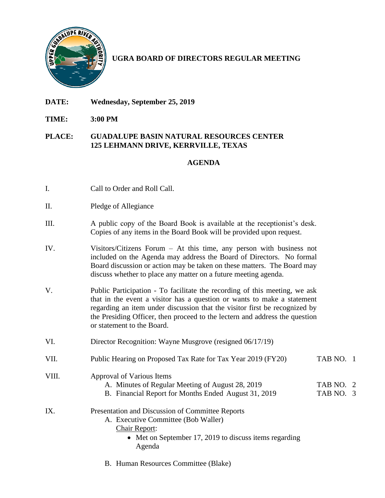

**UGRA BOARD OF DIRECTORS REGULAR MEETING**

- **DATE: Wednesday, September 25, 2019**
- **TIME: 3:00 PM**

## **PLACE: GUADALUPE BASIN NATURAL RESOURCES CENTER 125 LEHMANN DRIVE, KERRVILLE, TEXAS**

## **AGENDA**

- I. Call to Order and Roll Call.
- II. Pledge of Allegiance
- III. A public copy of the Board Book is available at the receptionist's desk. Copies of any items in the Board Book will be provided upon request.
- IV. Visitors/Citizens Forum At this time, any person with business not included on the Agenda may address the Board of Directors. No formal Board discussion or action may be taken on these matters. The Board may discuss whether to place any matter on a future meeting agenda.
- V. Public Participation To facilitate the recording of this meeting, we ask that in the event a visitor has a question or wants to make a statement regarding an item under discussion that the visitor first be recognized by the Presiding Officer, then proceed to the lectern and address the question or statement to the Board.
- VI. Director Recognition: Wayne Musgrove (resigned 06/17/19)
- VII. Public Hearing on Proposed Tax Rate for Tax Year 2019 (FY20) TAB NO. 1
- VIII. Approval of Various Items A. Minutes of Regular Meeting of August 28, 2019 TAB NO. 2 B. Financial Report for Months Ended August 31, 2019 TAB NO. 3 IX. Presentation and Discussion of Committee Reports A. Executive Committee (Bob Waller)
	- Chair Report:
		- Met on September 17, 2019 to discuss items regarding Agenda
	- B. Human Resources Committee (Blake)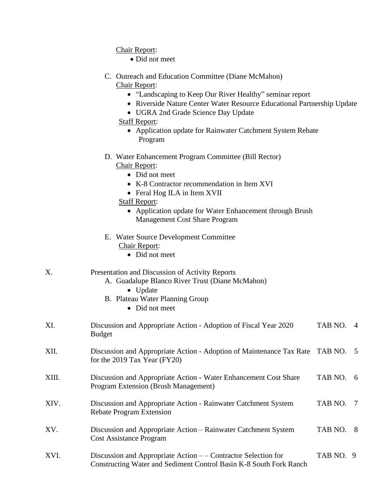|       | Chair Report:                                                                                                                                                                                      |         |     |
|-------|----------------------------------------------------------------------------------------------------------------------------------------------------------------------------------------------------|---------|-----|
|       | • Did not meet                                                                                                                                                                                     |         |     |
|       | C. Outreach and Education Committee (Diane McMahon)<br>Chair Report:                                                                                                                               |         |     |
|       | • "Landscaping to Keep Our River Healthy" seminar report<br>• Riverside Nature Center Water Resource Educational Partnership Update<br>• UGRA 2nd Grade Science Day Update<br><b>Staff Report:</b> |         |     |
|       | • Application update for Rainwater Catchment System Rebate<br>Program                                                                                                                              |         |     |
|       | D. Water Enhancement Program Committee (Bill Rector)<br>Chair Report:<br>• Did not meet                                                                                                            |         |     |
|       | • K-8 Contractor recommendation in Item XVI<br>• Feral Hog ILA in Item XVII<br><b>Staff Report:</b>                                                                                                |         |     |
|       | • Application update for Water Enhancement through Brush<br><b>Management Cost Share Program</b>                                                                                                   |         |     |
|       | E. Water Source Development Committee<br>Chair Report:<br>• Did not meet                                                                                                                           |         |     |
| Х.    | Presentation and Discussion of Activity Reports<br>A. Guadalupe Blanco River Trust (Diane McMahon)<br>• Update<br>B. Plateau Water Planning Group                                                  |         |     |
|       | • Did not meet                                                                                                                                                                                     |         |     |
| XI.   | Discussion and Appropriate Action - Adoption of Fiscal Year 2020<br><b>Budget</b>                                                                                                                  | TAB NO. | 4   |
| XII.  | Discussion and Appropriate Action - Adoption of Maintenance Tax Rate TAB NO. 5<br>for the 2019 Tax Year (FY20)                                                                                     |         |     |
| XIII. | Discussion and Appropriate Action - Water Enhancement Cost Share<br>Program Extension (Brush Management)                                                                                           | TAB NO. | - 6 |
|       |                                                                                                                                                                                                    |         |     |

- XIV. Discussion and Appropriate Action Rainwater Catchment System TAB NO. 7 Rebate Program Extension
- XV. Discussion and Appropriate Action Rainwater Catchment System TAB NO. 8 Cost Assistance Program
- XVI. Discussion and Appropriate Action – Contractor Selection for TAB NO. 9 Constructing Water and Sediment Control Basin K-8 South Fork Ranch